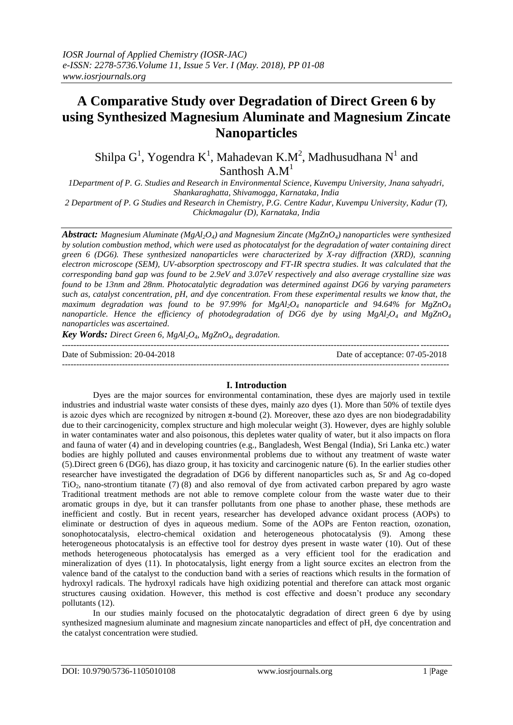# **A Comparative Study over Degradation of Direct Green 6 by using Synthesized Magnesium Aluminate and Magnesium Zincate Nanoparticles**

Shilpa G<sup>1</sup>, Yogendra K<sup>1</sup>, Mahadevan K.M<sup>2</sup>, Madhusudhana N<sup>1</sup> and Santhosh  $A.M<sup>1</sup>$ 

*1Department of P. G. Studies and Research in Environmental Science, Kuvempu University, Jnana sahyadri, Shankaraghatta, Shivamogga, Karnataka, India*

*2 Department of P. G Studies and Research in Chemistry, P.G. Centre Kadur, Kuvempu University, Kadur (T), Chickmagalur (D), Karnataka, India*

*Abstract: Magnesium Aluminate (MgAl2O4) and Magnesium Zincate (MgZnO4) nanoparticles were synthesized by solution combustion method, which were used as photocatalyst for the degradation of water containing direct green 6 (DG6). These synthesized nanoparticles were characterized by X-ray diffraction (XRD), scanning electron microscope (SEM), UV-absorption spectroscopy and FT-IR spectra studies. It was calculated that the corresponding band gap was found to be 2.9eV and 3.07eV respectively and also average crystalline size was found to be 13nm and 28nm. Photocatalytic degradation was determined against DG6 by varying parameters such as, catalyst concentration, pH, and dye concentration. From these experimental results we know that, the maximum degradation was found to be 97.99% for MgAl<sub>2</sub>O<sub>4</sub> <i>nanoparticle and 94.64% for MgZnO<sub>4</sub> nanoparticle. Hence the efficiency of photodegradation of DG6 dye by using MgAl2O<sup>4</sup> and MgZnO<sup>4</sup> nanoparticles was ascertained.*

*Key Words: Direct Green 6, MgAl2O4, MgZnO4, degradation.* ---------------------------------------------------------------------------------------------------------------------------------------

Date of Submission: 20-04-2018 Date of acceptance: 07-05-2018

 $-1\leq i\leq n-1\leq n-1\leq n-1\leq n-1\leq n-1\leq n-1\leq n-1\leq n-1\leq n-1\leq n-1\leq n-1\leq n-1\leq n-1\leq n-1\leq n-1\leq n-1\leq n-1\leq n-1\leq n-1\leq n-1\leq n-1\leq n-1\leq n-1\leq n-1\leq n-1\leq n-1\leq n-1\leq n-1\leq n-1\leq n-1\leq n-1\leq n-1\leq n-1\leq n-1\leq n-1\leq n$ 

## **I. Introduction**

Dyes are the major sources for environmental contamination, these dyes are majorly used in textile industries and industrial waste water consists of these dyes, mainly azo dyes (1). More than 50% of textile dyes is azoic dyes which are recognized by nitrogen π-bound (2). Moreover, these azo dyes are non biodegradability due to their carcinogenicity, complex structure and high molecular weight (3). However, dyes are highly soluble in water contaminates water and also poisonous, this depletes water quality of water, but it also impacts on flora and fauna of water (4) and in developing countries (e.g., Bangladesh, West Bengal (India), Sri Lanka etc.) water bodies are highly polluted and causes environmental problems due to without any treatment of waste water (5).Direct green 6 (DG6), has diazo group, it has toxicity and carcinogenic nature (6). In the earlier studies other researcher have investigated the degradation of DG6 by different nanoparticles such as, Sr and Ag co-doped  $TiO<sub>2</sub>$ , nano-strontium titanate (7) (8) and also removal of dye from activated carbon prepared by agro waste Traditional treatment methods are not able to remove complete colour from the waste water due to their aromatic groups in dye, but it can transfer pollutants from one phase to another phase, these methods are inefficient and costly. But in recent years, researcher has developed advance oxidant process (AOPs) to eliminate or destruction of dyes in aqueous medium. Some of the AOPs are Fenton reaction, ozonation, sonophotocatalysis, electro-chemical oxidation and heterogeneous photocatalysis (9). Among these heterogeneous photocatalysis is an effective tool for destroy dyes present in waste water (10). Out of these methods heterogeneous photocatalysis has emerged as a very efficient tool for the eradication and mineralization of dyes (11). In photocatalysis, light energy from a light source excites an electron from the valence band of the catalyst to the conduction band with a series of reactions which results in the formation of hydroxyl radicals. The hydroxyl radicals have high oxidizing potential and therefore can attack most organic structures causing oxidation. However, this method is cost effective and doesn't produce any secondary pollutants (12).

In our studies mainly focused on the photocatalytic degradation of direct green 6 dye by using synthesized magnesium aluminate and magnesium zincate nanoparticles and effect of pH, dye concentration and the catalyst concentration were studied.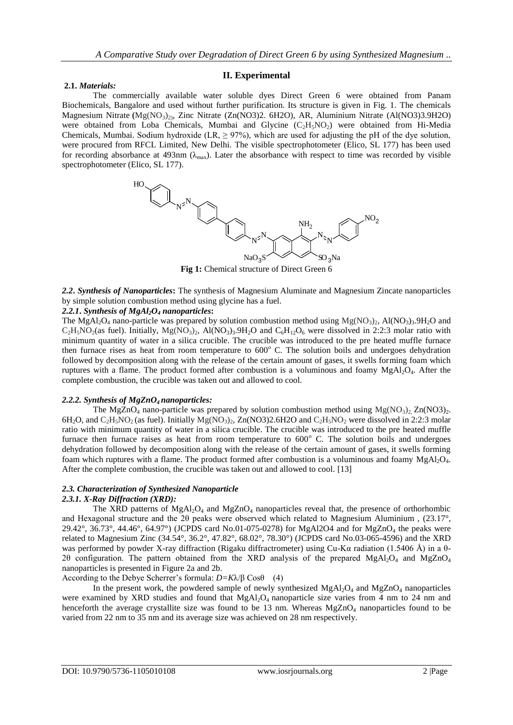## **II. Experimental**

#### **2.1.** *Materials:*

The commercially available water soluble dyes Direct Green 6 were obtained from Panam Biochemicals, Bangalore and used without further purification. Its structure is given in Fig. 1. The chemicals Magnesium Nitrate **(**Mg(NO3)2), Zinc Nitrate (Zn(NO3)2. 6H2O), AR, Aluminium Nitrate (Al(NO3)3.9H2O) were obtained from Loba Chemicals, Mumbai and Glycine  $(C_2H_5NO_2)$  were obtained from Hi-Media Chemicals, Mumbai. Sodium hydroxide (LR,  $\geq$  97%), which are used for adjusting the pH of the dye solution, were procured from RFCL Limited, New Delhi. The visible spectrophotometer (Elico, SL 177) has been used for recording absorbance at 493nm ( $\lambda_{\text{max}}$ ). Later the absorbance with respect to time was recorded by visible spectrophotometer (Elico, SL 177).



**Fig 1:** Chemical structure of Direct Green 6

*2.2***.** *Synthesis of Nanoparticles***:** The synthesis of Magnesium Aluminate and Magnesium Zincate nanoparticles by simple solution combustion method using glycine has a fuel.

### *2.2.1***.** *Synthesis of MgAl2O<sup>4</sup> nanoparticles***:**

The MgAl<sub>2</sub>O<sub>4</sub> nano-particle was prepared by solution combustion method using Mg(NO<sub>3</sub>)<sub>2</sub>, Al(NO<sub>3</sub>)<sub>3</sub>.9H<sub>2</sub>O and  $C_2H_5NO_2$ (as fuel). Initially,  $Mg(NO_3)_2$ ,  $Al(NO_3)_3.9H_2O$  and  $C_6H_{12}O_6$  were dissolved in 2:2:3 molar ratio with minimum quantity of water in a silica crucible. The crucible was introduced to the pre heated muffle furnace then furnace rises as heat from room temperature to  $600^{\circ}$  C. The solution boils and undergoes dehydration followed by decomposition along with the release of the certain amount of gases, it swells forming foam which ruptures with a flame. The product formed after combustion is a voluminous and foamy  $MgA1_2O_4$ . After the complete combustion, the crucible was taken out and allowed to cool.

#### *2.2.2. Synthesis of MgZnO4 nanoparticles:*

The MgZnO<sub>4</sub> nano-particle was prepared by solution combustion method using Mg(NO<sub>3</sub>)<sub>2</sub>. Zn(NO3)<sub>2</sub>. 6H<sub>2</sub>O, and C<sub>2</sub>H<sub>5</sub>NO<sub>2</sub> (as fuel). Initially Mg(NO<sub>3</sub>)<sub>2</sub>, Zn(NO3)2.6H2O and C<sub>2</sub>H<sub>5</sub>NO<sub>2</sub> were dissolved in 2:2:3 molar ratio with minimum quantity of water in a silica crucible. The crucible was introduced to the pre heated muffle furnace then furnace raises as heat from room temperature to  $600^\circ$  C. The solution boils and undergoes dehydration followed by decomposition along with the release of the certain amount of gases, it swells forming foam which ruptures with a flame. The product formed after combustion is a voluminous and foamy MgAl<sub>2</sub>O<sub>4</sub>. After the complete combustion, the crucible was taken out and allowed to cool. [13]

### *2.3. Characterization of Synthesized Nanoparticle*

#### *2.3.1. X-Ray Diffraction (XRD):*

The XRD patterns of  $MgA_1O_4$  and  $MgZnO_4$  nanoparticles reveal that, the presence of orthorhombic and Hexagonal structure and the 2θ peaks were observed which related to Magnesium Aluminium , (23.17°, 29.42°, 36.73°, 44.46°, 64.97°) (JCPDS card No.01-075-0278) for MgAl2O4 and for MgZnO<sub>4</sub> the peaks were related to Magnesium Zinc (34.54°, 36.2°, 47.82°, 68.02°, 78.30°) (JCPDS card No.03-065-4596) and the XRD was performed by powder X-ray diffraction (Rigaku diffractrometer) using Cu-Kα radiation (1.5406 Å) in a θ-2θ configuration. The pattern obtained from the XRD analysis of the prepared  $MgA_2O_4$  and  $MgZnO_4$ nanoparticles is presented in Figure 2a and 2b.

According to the Debye Scherrer's formula: *D=K*λ/β Cosθ (4)

In the present work, the powdered sample of newly synthesized  $MgAl<sub>2</sub>O<sub>4</sub>$  and  $MgZnO<sub>4</sub>$  nanoparticles were examined by XRD studies and found that MgAl<sub>2</sub>O<sub>4</sub> nanoparticle size varies from 4 nm to 24 nm and henceforth the average crystallite size was found to be 13 nm. Whereas MgZnO<sub>4</sub> nanoparticles found to be varied from 22 nm to 35 nm and its average size was achieved on 28 nm respectively.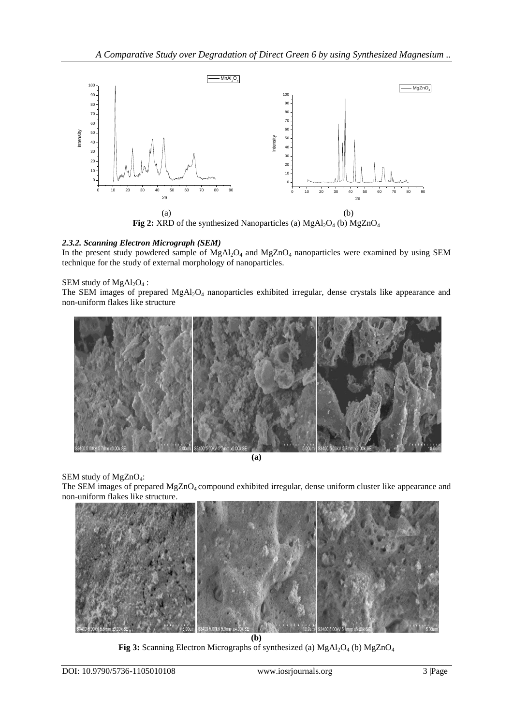

## *2.3.2. Scanning Electron Micrograph (SEM)*

In the present study powdered sample of  $MgAl<sub>2</sub>O<sub>4</sub>$  and  $MgZnO<sub>4</sub>$  nanoparticles were examined by using SEM technique for the study of external morphology of nanoparticles.

## SEM study of  $MgAl<sub>2</sub>O<sub>4</sub>$ :

The SEM images of prepared  $MgAl<sub>2</sub>O<sub>4</sub>$  nanoparticles exhibited irregular, dense crystals like appearance and non-uniform flakes like structure



**(a)**

SEM study of MgZnO4:

The SEM images of prepared MgZnO<sub>4</sub> compound exhibited irregular, dense uniform cluster like appearance and non-uniform flakes like structure.



**Fig 3:** Scanning Electron Micrographs of synthesized (a)  $MgAl_2O_4$  (b)  $MgZnO_4$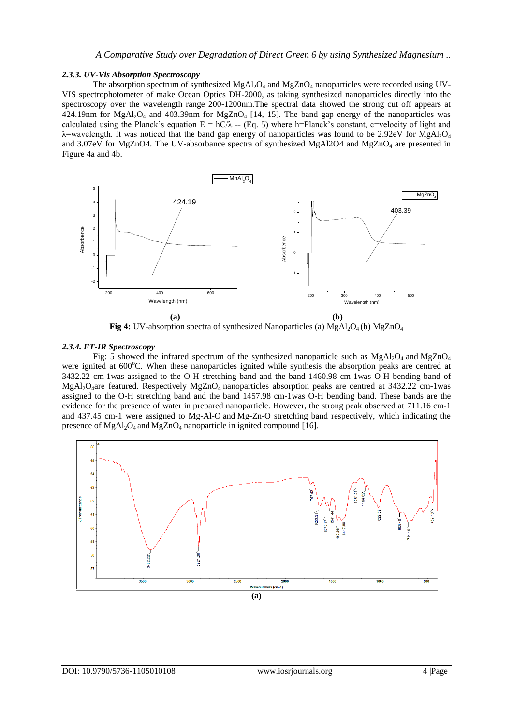#### *2.3.3. UV-Vis Absorption Spectroscopy*

The absorption spectrum of synthesized  $MgA_1O_4$  and  $MgZnO_4$  nanoparticles were recorded using UV-VIS spectrophotometer of make Ocean Optics DH-2000, as taking synthesized nanoparticles directly into the spectroscopy over the wavelength range 200-1200nm.The spectral data showed the strong cut off appears at 424.19nm for  $MgAl<sub>2</sub>O<sub>4</sub>$  and 403.39nm for  $MgZnO<sub>4</sub>$  [14, 15]. The band gap energy of the nanoparticles was calculated using the Planck's equation  $E = hC/\lambda$  -- (Eq. 5) where h=Planck's constant, c=velocity of light and  $λ =$ wavelength. It was noticed that the band gap energy of nanoparticles was found to be 2.92eV for MgAl<sub>2</sub>O<sub>4</sub> and 3.07eV for MgZnO4. The UV-absorbance spectra of synthesized MgAl2O4 and MgZnO<sup>4</sup> are presented in Figure 4a and 4b.



**Fig 4:** UV-absorption spectra of synthesized Nanoparticles (a)  $MgAl_2O_4$  (b)  $MgZnO_4$ 

### *2.3.4. FT-IR Spectroscopy*

Fig:  $\overline{5}$  showed the infrared spectrum of the synthesized nanoparticle such as MgAl<sub>2</sub>O<sub>4</sub> and MgZnO<sub>4</sub> were ignited at 600°C. When these nanoparticles ignited while synthesis the absorption peaks are centred at 3432.22 cm-1was assigned to the O-H stretching band and the band 1460.98 cm-1was O-H bending band of MgAl2O4are featured. Respectively MgZnO4 nanoparticles absorption peaks are centred at 3432.22 cm-1was assigned to the O-H stretching band and the band 1457.98 cm-1was O-H bending band. These bands are the evidence for the presence of water in prepared nanoparticle. However, the strong peak observed at 711.16 cm-1 and 437.45 cm-1 were assigned to Mg-Al-O and Mg-Zn-O stretching band respectively, which indicating the presence of  $MgAl_2O_4$  and  $MgZnO_4$  nanoparticle in ignited compound [16].

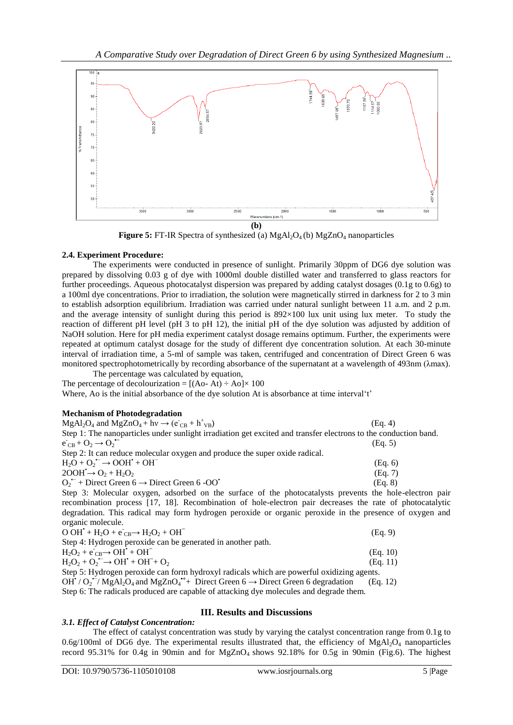

**Figure 5: FT-IR Spectra of synthesized (a) MgAl<sub>2</sub>O<sub>4</sub> (b) MgZnO<sub>4</sub> nanoparticles** 

## **2.4. Experiment Procedure:**

The experiments were conducted in presence of sunlight. Primarily 30ppm of DG6 dye solution was prepared by dissolving 0.03 g of dye with 1000ml double distilled water and transferred to glass reactors for further proceedings. Aqueous photocatalyst dispersion was prepared by adding catalyst dosages (0.1g to 0.6g) to a 100ml dye concentrations. Prior to irradiation, the solution were magnetically stirred in darkness for 2 to 3 min to establish adsorption equilibrium. Irradiation was carried under natural sunlight between 11 a.m. and 2 p.m. and the average intensity of sunlight during this period is  $892\times100$  lux unit using lux meter. To study the reaction of different pH level (pH 3 to pH 12), the initial pH of the dye solution was adjusted by addition of NaOH solution. Here for pH media experiment catalyst dosage remains optimum. Further, the experiments were repeated at optimum catalyst dosage for the study of different dye concentration solution. At each 30-minute interval of irradiation time, a 5-ml of sample was taken, centrifuged and concentration of Direct Green 6 was monitored spectrophotometrically by recording absorbance of the supernatant at a wavelength of 493nm (λmax). The percentage was calculated by equation.

The percentage of decolourization =  $[(Ao-At) \div Ao] \times 100$ Where, Ao is the initial absorbance of the dye solution At is absorbance at time interval't'

## **Mechanism of Photodegradation**

| $MgAl_2O_4$ and $MgZnO_4 + hv \rightarrow (e^-_{CB} + h^+_{VB})$                                                | (Ea. 4) |
|-----------------------------------------------------------------------------------------------------------------|---------|
| Step 1: The nanoparticles under sunlight irradiation get excited and transfer electrons to the conduction band. |         |
| $e_{CR}$ + $O_2$ $\rightarrow$ $O_2$ <sup>-</sup>                                                               | (Eq. 5) |
| Step 2: It can reduce molecular oxygen and produce the super oxide radical.                                     |         |
| $H_2O + O_2^- \rightarrow OOH^+ + OH^-$                                                                         | (Eq. 6) |
| $2OOH\rightarrow O_2 + H_2O_2$                                                                                  | (Eq. 7) |
| $O_2$ + Direct Green 6 $\rightarrow$ Direct Green 6 -OO'                                                        | (Eq. 8) |
| Stap 3: Molecular oxygen, adopted on the surface of the photocotalysts prevents the hole electron               |         |

Step 3: Molecular oxygen, adsorbed on the surface of the photocatalysts prevents the hole-electron pair recombination process [17, 18]. Recombination of hole-electron pair decreases the rate of photocatalytic degradation. This radical may form hydrogen peroxide or organic peroxide in the presence of oxygen and organic molecule.

| $O OH' + H2O + eCB \rightarrow H2O2 + OH-$                                                                                                                  | (Eq. 9)  |
|-------------------------------------------------------------------------------------------------------------------------------------------------------------|----------|
| Step 4: Hydrogen peroxide can be generated in another path.                                                                                                 |          |
| $H_2O_2 + e_{CB} \rightarrow OH' + OH$                                                                                                                      | (Eq. 10) |
| $H_2O_2 + O_2 \rightarrow OH + OH + O$                                                                                                                      | (Ea. 11) |
| Step 5: Hydrogen peroxide can form hydroxyl radicals which are powerful oxidizing agents.                                                                   |          |
| OH' / $O_2$ <sup>--</sup> / MgAl <sub>2</sub> O <sub>4</sub> and MgZnO <sub>4</sub> <sup>++</sup> + Direct Green 6 $\rightarrow$ Direct Green 6 degradation | (Eq. 12) |

Step 6: The radicals produced are capable of attacking dye molecules and degrade them.

## **III. Results and Discussions**

*3.1. Effect of Catalyst Concentration:* The effect of catalyst concentration was study by varying the catalyst concentration range from 0.1g to  $0.6g/100m$  of DG6 dye. The experimental results illustrated that, the efficiency of MgAl<sub>2</sub>O<sub>4</sub> nanoparticles record 95.31% for 0.4g in 90min and for  $MgZnO<sub>4</sub>$  shows 92.18% for 0.5g in 90min (Fig.6). The highest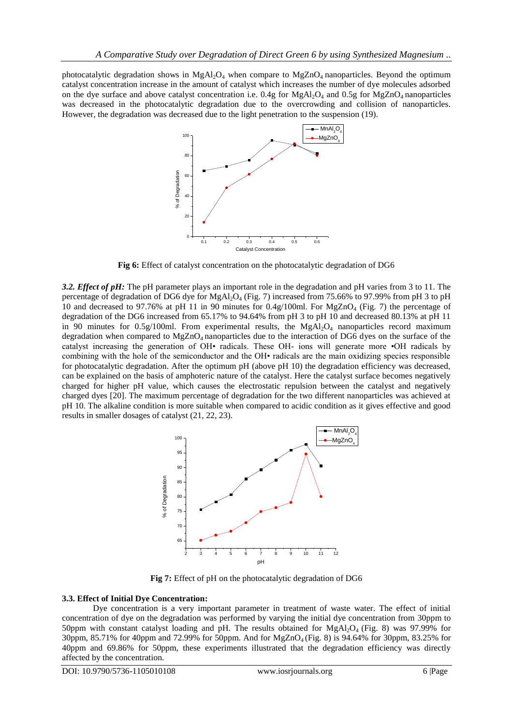photocatalytic degradation shows in  $MgA_1O_4$  when compare to  $MgZnO_4$  nanoparticles. Beyond the optimum catalyst concentration increase in the amount of catalyst which increases the number of dye molecules adsorbed on the dye surface and above catalyst concentration i.e.  $0.4g$  for  $MgA<sub>2</sub>O<sub>4</sub>$  and  $0.5g$  for  $MgZnO<sub>4</sub>$  nanoparticles was decreased in the photocatalytic degradation due to the overcrowding and collision of nanoparticles. However, the degradation was decreased due to the light penetration to the suspension (19).



**Fig 6:** Effect of catalyst concentration on the photocatalytic degradation of DG6

*3.2. Effect of pH:* The pH parameter plays an important role in the degradation and pH varies from 3 to 11. The percentage of degradation of DG6 dye for  $MgAl<sub>2</sub>O<sub>4</sub>$  (Fig. 7) increased from 75.66% to 97.99% from pH 3 to pH 10 and decreased to 97.76% at pH 11 in 90 minutes for  $0.4g/100$ ml. For MgZnO<sub>4</sub> (Fig. 7) the percentage of degradation of the DG6 increased from 65.17% to 94.64% from pH 3 to pH 10 and decreased 80.13% at pH 11 in 90 minutes for 0.5g/100ml. From experimental results, the  $MgA<sub>1</sub>O<sub>4</sub>$  nanoparticles record maximum degradation when compared to  $MgZnO_4$  nanoparticles due to the interaction of DG6 dyes on the surface of the catalyst increasing the generation of OH• radicals. These OH- ions will generate more •OH radicals by combining with the hole of the semiconductor and the OH• radicals are the main oxidizing species responsible for photocatalytic degradation. After the optimum pH (above pH 10) the degradation efficiency was decreased, can be explained on the basis of amphoteric nature of the catalyst. Here the catalyst surface becomes negatively charged for higher pH value, which causes the electrostatic repulsion between the catalyst and negatively charged dyes [20]. The maximum percentage of degradation for the two different nanoparticles was achieved at pH 10. The alkaline condition is more suitable when compared to acidic condition as it gives effective and good results in smaller dosages of catalyst (21, 22, 23).



**Fig 7:** Effect of pH on the photocatalytic degradation of DG6

## **3.3. Effect of Initial Dye Concentration:**

Dye concentration is a very important parameter in treatment of waste water. The effect of initial concentration of dye on the degradation was performed by varying the initial dye concentration from 30ppm to 50ppm with constant catalyst loading and pH. The results obtained for  $MgAl<sub>2</sub>O<sub>4</sub>$  (Fig. 8) was 97.99% for 30ppm, 85.71% for 40ppm and 72.99% for 50ppm. And for  $MgZnO<sub>4</sub>(Fig. 8)$  is 94.64% for 30ppm, 83.25% for 40ppm and 69.86% for 50ppm, these experiments illustrated that the degradation efficiency was directly affected by the concentration.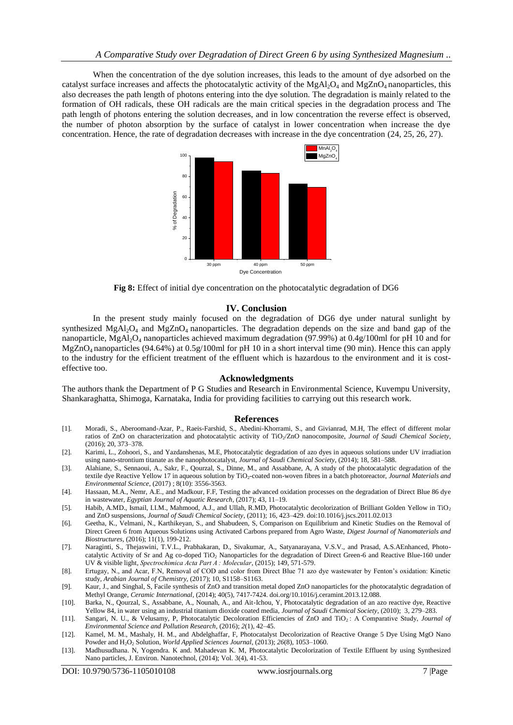When the concentration of the dye solution increases, this leads to the amount of dye adsorbed on the catalyst surface increases and affects the photocatalytic activity of the MgAl<sub>2</sub>O<sub>4</sub> and MgZnO<sub>4</sub> nanoparticles, this also decreases the path length of photons entering into the dye solution. The degradation is mainly related to the formation of OH radicals, these OH radicals are the main critical species in the degradation process and The path length of photons entering the solution decreases, and in low concentration the reverse effect is observed, the number of photon absorption by the surface of catalyst in lower concentration when increase the dye concentration. Hence, the rate of degradation decreases with increase in the dye concentration (24, 25, 26, 27).





#### **IV. Conclusion**

In the present study mainly focused on the degradation of DG6 dye under natural sunlight by synthesized  $MgA_1O_4$  and  $MgZnO_4$  nanoparticles. The degradation depends on the size and band gap of the nanoparticle, MgAl<sub>2</sub>O<sub>4</sub> nanoparticles achieved maximum degradation (97.99%) at 0.4g/100ml for pH 10 and for  $MgZnO<sub>4</sub>$  nanoparticles (94.64%) at 0.5g/100ml for pH 10 in a short interval time (90 min). Hence this can apply to the industry for the efficient treatment of the effluent which is hazardous to the environment and it is costeffective too.

#### **Acknowledgments**

The authors thank the Department of P G Studies and Research in Environmental Science, Kuvempu University, Shankaraghatta, Shimoga, Karnataka, India for providing facilities to carrying out this research work.

#### **References**

- [1]. Moradi, S., Aberoomand-Azar, P., Raeis-Farshid, S., Abedini-Khorrami, S., and Givianrad, M.H, The effect of different molar ratios of ZnO on characterization and photocatalytic activity of TiO2/ZnO nanocomposite, *Journal of Saudi Chemical Society*, (2016); 20, 373–378.
- [2]. Karimi, L., Zohoori, S., and Yazdanshenas, M.E, Photocatalytic degradation of azo dyes in aqueous solutions under UV irradiation using nano-strontium titanate as the nanophotocatalyst, *Journal of Saudi Chemical Society*, (2014); 18, 581–588.
- [3]. Alahiane, S., Sennaoui, A., Sakr, F., Qourzal, S., Dinne, M., and Assabbane, A, A study of the photocatalytic degradation of the textile dye Reactive Yellow 17 in aqueous solution by TiO2-coated non-woven fibres in a batch photoreactor, *Journal Materials and Environmental Science*, (2017) ; 8(10): 3556-3563.
- [4]. Hassaan, M.A., Nemr, A.E., and Madkour, F.F, Testing the advanced oxidation processes on the degradation of Direct Blue 86 dye in wastewater, *Egyptian Journal of Aquatic Research*, (2017); 43, 11–19.
- [5]. Habib, A.MD., Ismail, I.I.M., Mahmood, A.J., and Ullah, R.MD, Photocatalytic decolorization of Brilliant Golden Yellow in TiO<sup>2</sup> and ZnO suspensions, *Journal of Saudi Chemical Society*, (2011); 16, 423–429. doi:10.1016/j.jscs.2011.02.013
- [6]. Geetha, K., Velmani, N., Karthikeyan, S., and Shabudeen, S, Comparison on Equilibrium and Kinetic Studies on the Removal of Direct Green 6 from Aqueous Solutions using Activated Carbons prepared from Agro Waste, *Digest Journal of Nanomaterials and Biostructures*, (2016); 11(1), 199-212.
- [7]. Naraginti, S., Thejaswini, T.V.L., Prabhakaran, D., Sivakumar, A., Satyanarayana, V.S.V., and Prasad, A.S.AEnhanced, Photocatalytic Activity of Sr and Ag co-doped TiO<sup>2</sup> Nanoparticles for the degradation of Direct Green-6 and Reactive Blue-160 under UV & visible light, *Spectrochimica Acta Part A : Molecular*, (2015); 149, 571-579.
- [8]. Ertugay, N., and Acar, F.N, Removal of COD and color from Direct Blue 71 azo dye wastewater by Fenton's oxidation: Kinetic study, *Arabian Journal of Chemistry*, (2017); 10, S1158–S1163.
- [9]. Kaur, J., and Singhal, S, Facile synthesis of ZnO and transition metal doped ZnO nanoparticles for the photocatalytic degradation of Methyl Orange, *Ceramic International*, (2014); 40(5), 7417-7424. doi.org/10.1016/j.ceramint.2013.12.088.
- [10]. Barka, N., Qourzal, S., Assabbane, A., Nounah, A., and Ait-Ichou, Y, Photocatalytic degradation of an azo reactive dye, Reactive Yellow 84, in water using an industrial titanium dioxide coated media, *Journal of Saudi Chemical Society*, (2010); 3, 279–283.
- [11]. Sangari, N. U., & Velusamy, P, Photocatalytic Decoloration Efficiencies of ZnO and TiO2 : A Comparative Study, *Journal of Environmental Science and Pollution Research*, (2016); *2*(1), 42–45.
- [12]. Kamel, M. M., Mashaly, H. M., and Abdelghaffar, F, Photocatalyst Decolorization of Reactive Orange 5 Dye Using MgO Nano Powder and H<sub>2</sub>O<sub>2</sub> Solution, *World Applied Sciences Journal*, (2013); *26*(8), 1053-1060.
- [13]. Madhusudhana. N, Yogendra. K and. Mahadevan K. M, Photocatalytic Decolorization of Textile Effluent by using Synthesized Nano particles, J. Environ. Nanotechnol, (2014); Vol. 3(4), 41-53.